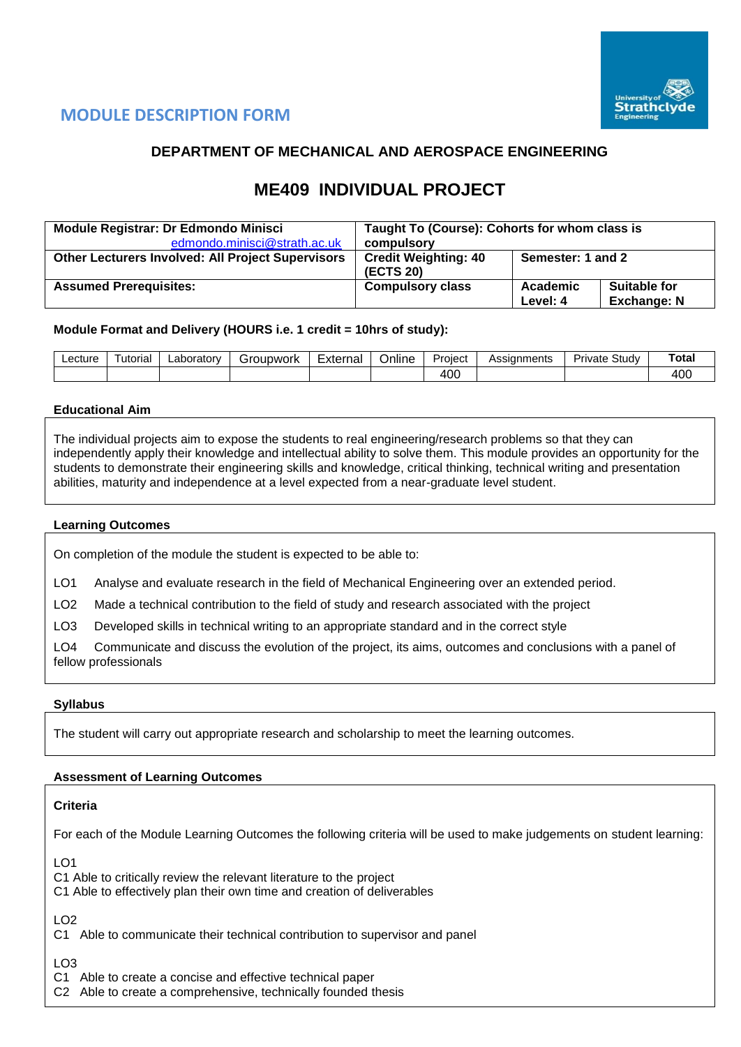

# **MODULE DESCRIPTION FORM**

# **DEPARTMENT OF MECHANICAL AND AEROSPACE ENGINEERING**

# **ME409 INDIVIDUAL PROJECT**

| <b>Module Registrar: Dr Edmondo Minisci</b>              | Taught To (Course): Cohorts for whom class is |                      |                                    |  |  |  |
|----------------------------------------------------------|-----------------------------------------------|----------------------|------------------------------------|--|--|--|
| edmondo.minisci@strath.ac.uk                             | compulsory                                    |                      |                                    |  |  |  |
| <b>Other Lecturers Involved: All Project Supervisors</b> | <b>Credit Weighting: 40</b><br>(ECTS 20)      | Semester: 1 and 2    |                                    |  |  |  |
| <b>Assumed Prerequisites:</b>                            | <b>Compulsory class</b>                       | Academic<br>Level: 4 | Suitable for<br><b>Exchange: N</b> |  |  |  |

# **Module Format and Delivery (HOURS i.e. 1 credit = 10hrs of study):**

| ∟ecture | utorial | Laboratory<br>iroupwork<br>эI |  | . .<br>∽<br>⊨xternal<br>Online |  | Assignments<br>Proiect |  | $\sim$<br>Private<br>∟stud∨ | Total |
|---------|---------|-------------------------------|--|--------------------------------|--|------------------------|--|-----------------------------|-------|
|         |         |                               |  |                                |  | 400                    |  |                             | 400   |

# **Educational Aim**

The individual projects aim to expose the students to real engineering/research problems so that they can independently apply their knowledge and intellectual ability to solve them. This module provides an opportunity for the students to demonstrate their engineering skills and knowledge, critical thinking, technical writing and presentation abilities, maturity and independence at a level expected from a near-graduate level student.

### **Learning Outcomes**

On completion of the module the student is expected to be able to:

LO1 Analyse and evaluate research in the field of Mechanical Engineering over an extended period.

LO2 Made a technical contribution to the field of study and research associated with the project

LO3 Developed skills in technical writing to an appropriate standard and in the correct style

LO4 Communicate and discuss the evolution of the project, its aims, outcomes and conclusions with a panel of fellow professionals

### **Syllabus**

The student will carry out appropriate research and scholarship to meet the learning outcomes.

### **Assessment of Learning Outcomes**

### **Criteria**

For each of the Module Learning Outcomes the following criteria will be used to make judgements on student learning:

 $LO1$ 

C1 Able to critically review the relevant literature to the project

C1 Able to effectively plan their own time and creation of deliverables

LO2

C1 Able to communicate their technical contribution to supervisor and panel

LO3

C1 Able to create a concise and effective technical paper

C2 Able to create a comprehensive, technically founded thesis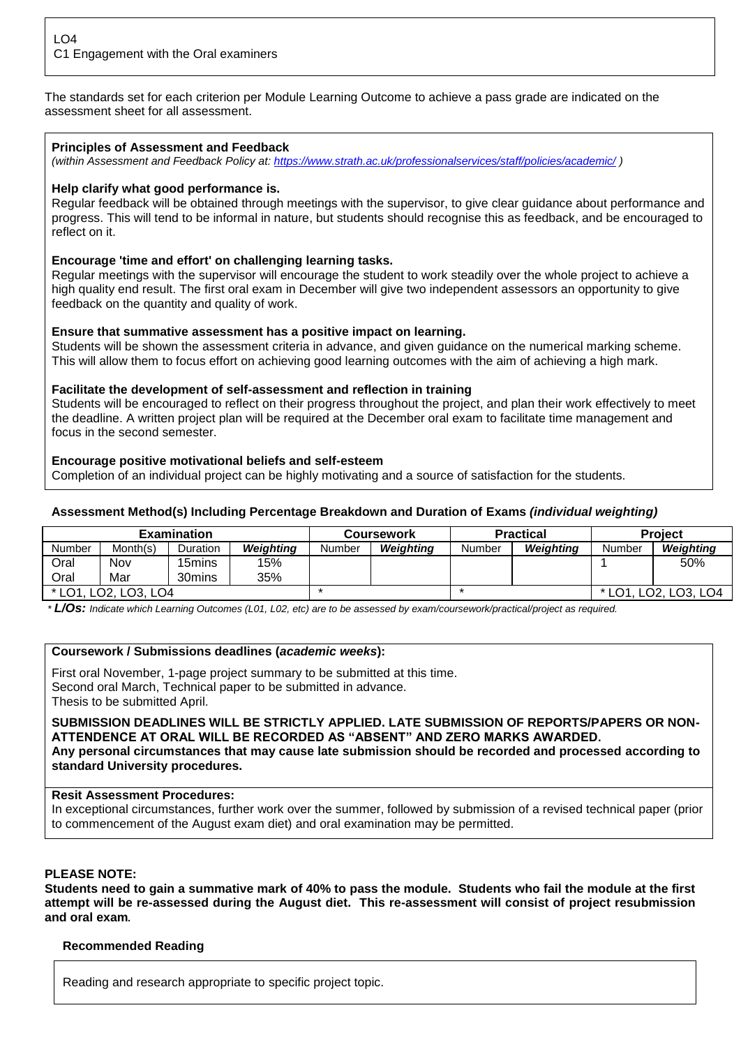The standards set for each criterion per Module Learning Outcome to achieve a pass grade are indicated on the assessment sheet for all assessment.

# **Principles of Assessment and Feedback**

*(within Assessment and Feedback Policy at: <https://www.strath.ac.uk/professionalservices/staff/policies/academic/> )*

### **Help clarify what good performance is.**

Regular feedback will be obtained through meetings with the supervisor, to give clear guidance about performance and progress. This will tend to be informal in nature, but students should recognise this as feedback, and be encouraged to reflect on it.

# **Encourage 'time and effort' on challenging learning tasks.**

Regular meetings with the supervisor will encourage the student to work steadily over the whole project to achieve a high quality end result. The first oral exam in December will give two independent assessors an opportunity to give feedback on the quantity and quality of work.

# **Ensure that summative assessment has a positive impact on learning.**

Students will be shown the assessment criteria in advance, and given guidance on the numerical marking scheme. This will allow them to focus effort on achieving good learning outcomes with the aim of achieving a high mark.

# **Facilitate the development of self-assessment and reflection in training**

Students will be encouraged to reflect on their progress throughout the project, and plan their work effectively to meet the deadline. A written project plan will be required at the December oral exam to facilitate time management and focus in the second semester.

# **Encourage positive motivational beliefs and self-esteem**

Completion of an individual project can be highly motivating and a source of satisfaction for the students.

# **Assessment Method(s) Including Percentage Breakdown and Duration of Exams** *(individual weighting)*

| <b>Examination</b>   |          |          |           |        | Coursework |        | Practical                                                     | <b>Project</b> |           |  |
|----------------------|----------|----------|-----------|--------|------------|--------|---------------------------------------------------------------|----------------|-----------|--|
| <b>Number</b>        | Month(s) | Duration | Weiahtina | Number | Weiahtina  | Number | Weiahtina                                                     | Number         | Weiahtina |  |
| Oral                 | Nov      | 15mins   | 15%       |        |            |        |                                                               |                | 50%       |  |
| Oral                 | Mar      | 30mins   | 35%       |        |            |        |                                                               |                |           |  |
| * LO1, LO2, LO3, LO4 |          |          |           |        |            |        | * LO1.<br>LO <sub>2</sub> , LO <sub>3</sub> , LO <sub>4</sub> |                |           |  |

*\* L/Os: Indicate which Learning Outcomes (L01, L02, etc) are to be assessed by exam/coursework/practical/project as required.*

### **Coursework / Submissions deadlines (***academic weeks***):**

First oral November, 1-page project summary to be submitted at this time. Second oral March, Technical paper to be submitted in advance. Thesis to be submitted April.

**SUBMISSION DEADLINES WILL BE STRICTLY APPLIED. LATE SUBMISSION OF REPORTS/PAPERS OR NON-ATTENDENCE AT ORAL WILL BE RECORDED AS "ABSENT" AND ZERO MARKS AWARDED. Any personal circumstances that may cause late submission should be recorded and processed according to standard University procedures.** 

### **Resit Assessment Procedures:**

In exceptional circumstances, further work over the summer, followed by submission of a revised technical paper (prior to commencement of the August exam diet) and oral examination may be permitted.

### **PLEASE NOTE:**

**Students need to gain a summative mark of 40% to pass the module. Students who fail the module at the first attempt will be re-assessed during the August diet. This re-assessment will consist of project resubmission and oral exam***.*

### **Recommended Reading**

Reading and research appropriate to specific project topic.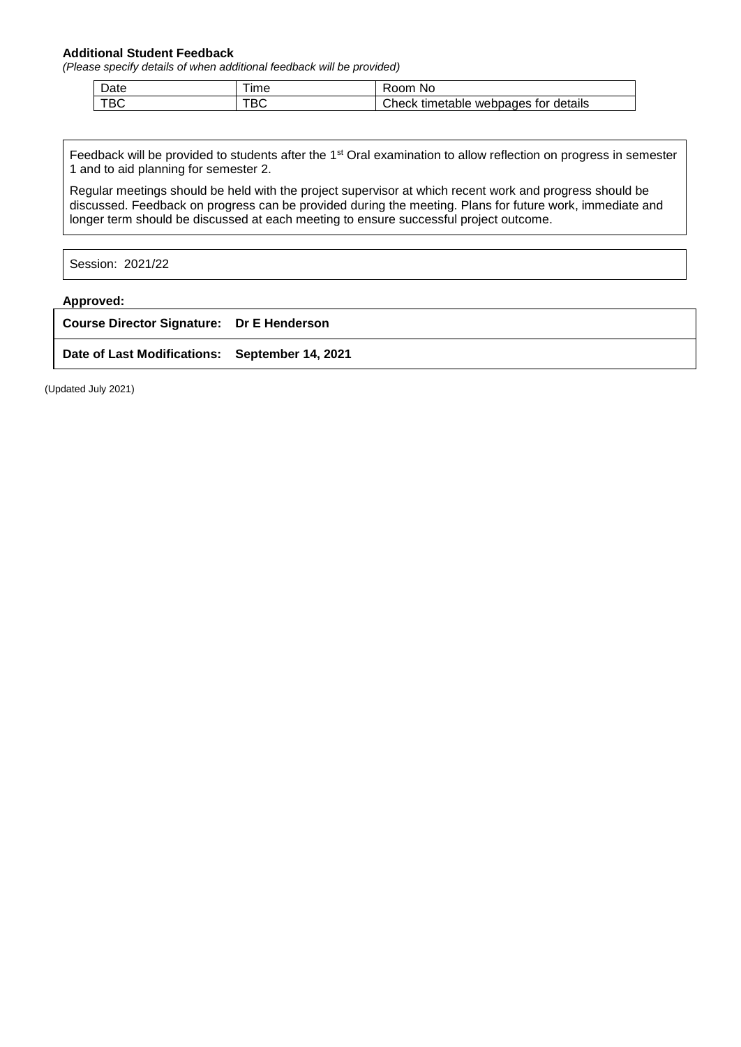#### **Additional Student Feedback**

*(Please specify details of when additional feedback will be provided)*

| Date | ıme              | Room<br>NO                                 |
|------|------------------|--------------------------------------------|
| TBC  | $T^{\sim}$<br>טס | Check<br>webpages for details<br>timetable |

Feedback will be provided to students after the 1<sup>st</sup> Oral examination to allow reflection on progress in semester 1 and to aid planning for semester 2.

Regular meetings should be held with the project supervisor at which recent work and progress should be discussed. Feedback on progress can be provided during the meeting. Plans for future work, immediate and longer term should be discussed at each meeting to ensure successful project outcome.

Session: 2021/22

#### **Approved:**

| <b>Course Director Signature: Dr E Henderson</b> |  |
|--------------------------------------------------|--|
| Date of Last Modifications: September 14, 2021   |  |

(Updated July 2021)